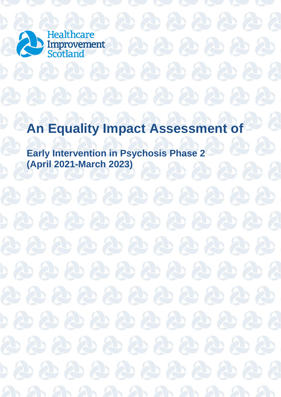

# **An Equality Impact Assessment of**

 $\mathcal{L}$ 

**Early Intervention in Psychosis Phase 2 (April 2021-March 2023)** 

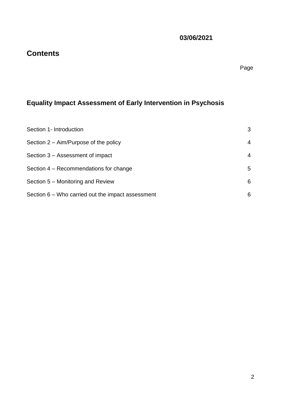Page

**03/06/2021**

## **Equality Impact Assessment of Early Intervention in Psychosis**

**Contents**

| Section 1- Introduction                           | 3 |
|---------------------------------------------------|---|
| Section $2 - \text{Aim/Purpose}$ of the policy    | 4 |
| Section 3 – Assessment of impact                  | 4 |
| Section 4 – Recommendations for change            | 5 |
| Section 5 – Monitoring and Review                 | 6 |
| Section 6 – Who carried out the impact assessment | 6 |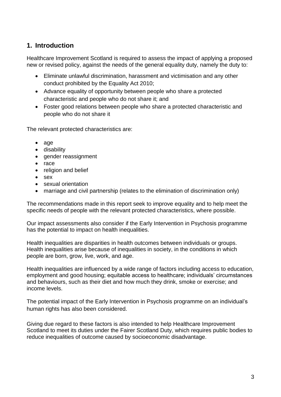### **1. Introduction**

Healthcare Improvement Scotland is required to assess the impact of applying a proposed new or revised policy, against the needs of the general equality duty, namely the duty to:

- Eliminate unlawful discrimination, harassment and victimisation and any other conduct prohibited by the Equality Act 2010;
- Advance equality of opportunity between people who share a protected characteristic and people who do not share it; and
- Foster good relations between people who share a protected characteristic and people who do not share it

The relevant protected characteristics are:

- $\bullet$  age
- disability
- gender reassignment
- $\bullet$  race
- religion and belief
- $\bullet$  sex
- sexual orientation
- marriage and civil partnership (relates to the elimination of discrimination only)

The recommendations made in this report seek to improve equality and to help meet the specific needs of people with the relevant protected characteristics, where possible.

Our impact assessments also consider if the Early Intervention in Psychosis programme has the potential to impact on health inequalities.

Health inequalities are disparities in health outcomes between individuals or groups. Health inequalities arise because of inequalities in society, in the conditions in which people are born, grow, live, work, and age.

Health inequalities are influenced by a wide range of factors including access to education, employment and good housing; equitable access to healthcare; individuals' circumstances and behaviours, such as their diet and how much they drink, smoke or exercise; and income levels.

The potential impact of the Early Intervention in Psychosis programme on an individual's human rights has also been considered.

Giving due regard to these factors is also intended to help Healthcare Improvement Scotland to meet its duties under the Fairer Scotland Duty, which requires public bodies to reduce inequalities of outcome caused by socioeconomic disadvantage.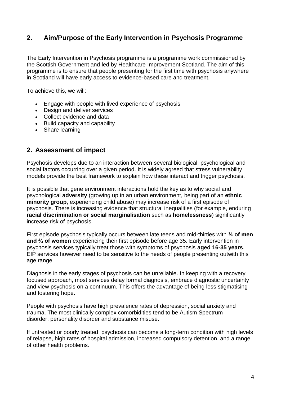#### **2. Aim/Purpose of the Early Intervention in Psychosis Programme**

The Early Intervention in Psychosis programme is a programme work commissioned by the Scottish Government and led by Healthcare Improvement Scotland. The aim of this programme is to ensure that people presenting for the first time with psychosis anywhere in Scotland will have early access to evidence-based care and treatment.

To achieve this, we will:

- Engage with people with lived experience of psychosis
- Design and deliver services
- Collect evidence and data
- Build capacity and capability
- Share learning

#### **2. Assessment of impact**

Psychosis develops due to an interaction between several biological, psychological and social factors occurring over a given period. It is widely agreed that stress vulnerability models provide the best framework to explain how these interact and trigger psychosis.

It is possible that gene environment interactions hold the key as to why social and psychological **adversity** (growing up in an urban environment, being part of an **ethnic minority group**, experiencing child abuse) may increase risk of a first episode of psychosis. There is increasing evidence that structural inequalities (for example, enduring **racial discrimination or social marginalisation** such as **homelessness**) significantly increase risk of psychosis.

First episode psychosis typically occurs between late teens and mid-thirties with **¾ of men and ⅔ of women** experiencing their first episode before age 35. Early intervention in psychosis services typically treat those with symptoms of psychosis **aged 16-35 years**. EIP services however need to be sensitive to the needs of people presenting outwith this age range.

Diagnosis in the early stages of psychosis can be unreliable. In keeping with a recovery focused approach, most services delay formal diagnosis, embrace diagnostic uncertainty and view psychosis on a continuum. This offers the advantage of being less stigmatising and fostering hope.

People with psychosis have high prevalence rates of depression, social anxiety and trauma. The most clinically complex comorbidities tend to be Autism Spectrum disorder, personality disorder and substance misuse.

If untreated or poorly treated, psychosis can become a long-term condition with high levels of relapse, high rates of hospital admission, increased compulsory detention, and a range of other health problems.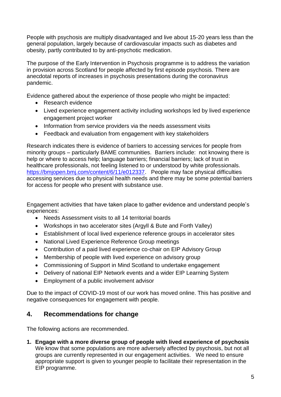People with psychosis are multiply disadvantaged and live about 15-20 years less than the general population, largely because of cardiovascular impacts such as diabetes and obesity, partly contributed to by anti-psychotic medication.

The purpose of the Early Intervention in Psychosis programme is to address the variation in provision across Scotland for people affected by first episode psychosis. There are anecdotal reports of increases in psychosis presentations during the coronavirus pandemic.

Evidence gathered about the experience of those people who might be impacted:

- Research evidence
- Lived experience engagement activity including workshops led by lived experience engagement project worker
- Information from service providers via the needs assessment visits
- Feedback and evaluation from engagement with key stakeholders

Research indicates there is evidence of barriers to accessing services for people from minority groups – particularly BAME communities. Barriers include: not knowing there is help or where to access help; language barriers; financial barriers; lack of trust in healthcare professionals, not feeling listened to or understood by white professionals. [https://bmjopen.bmj.com/content/6/11/e012337.](https://bmjopen.bmj.com/content/6/11/e012337) People may face physical difficulties accessing services due to physical health needs and there may be some potential barriers for access for people who present with substance use.

Engagement activities that have taken place to gather evidence and understand people's experiences:

- Needs Assessment visits to all 14 territorial boards
- Workshops in two accelerator sites (Argyll & Bute and Forth Valley)
- Establishment of local lived experience reference groups in accelerator sites
- National Lived Experience Reference Group meetings
- Contribution of a paid lived experience co-chair on EIP Advisory Group
- Membership of people with lived experience on advisory group
- Commissioning of Support in Mind Scotland to undertake engagement
- Delivery of national EIP Network events and a wider EIP Learning System
- Employment of a public involvement advisor

Due to the impact of COVID-19 most of our work has moved online. This has positive and negative consequences for engagement with people.

#### **4. Recommendations for change**

The following actions are recommended.

**1. Engage with a more diverse group of people with lived experience of psychosis** We know that some populations are more adversely affected by psychosis, but not all groups are currently represented in our engagement activities. We need to ensure appropriate support is given to younger people to facilitate their representation in the EIP programme.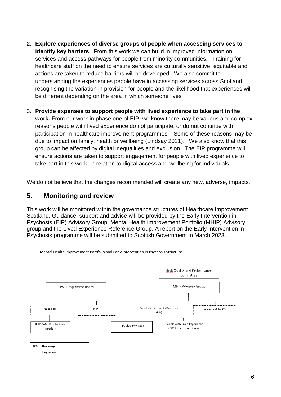- 2. **Explore experiences of diverse groups of people when accessing services to identify key barriers**. From this work we can build in improved information on services and access pathways for people from minority communities. Training for healthcare staff on the need to ensure services are culturally sensitive, equitable and actions are taken to reduce barriers will be developed. We also commit to understanding the experiences people have in accessing services across Scotland, recognising the variation in provision for people and the likelihood that experiences will be different depending on the area in which someone lives.
- 3. **Provide expenses to support people with lived experience to take part in the work.** From our work in phase one of EIP, we know there may be various and complex reasons people with lived experience do not participate, or do not continue with participation in healthcare improvement programmes. Some of these reasons may be due to impact on family, health or wellbeing (Lindsay 2021). We also know that this group can be affected by digital inequalities and exclusion. The EIP programme will ensure actions are taken to support engagement for people with lived experience to take part in this work, in relation to digital access and wellbeing for individuals.

We do not believe that the changes recommended will create any new, adverse, impacts.

#### **5. Monitoring and review**

This work will be monitored within the governance structures of Healthcare Improvement Scotland. Guidance, support and advice will be provided by the Early Intervention in Psychosis (EIP) Advisory Group, Mental Health Improvement Portfolio (MHIP) Advisory group and the Lived Experience Reference Group. A report on the Early Intervention in Psychosis programme will be submitted to Scottish Government in March 2023.



Mental Health Improvement Portfolio and Early Intervention in Psychosis Structure